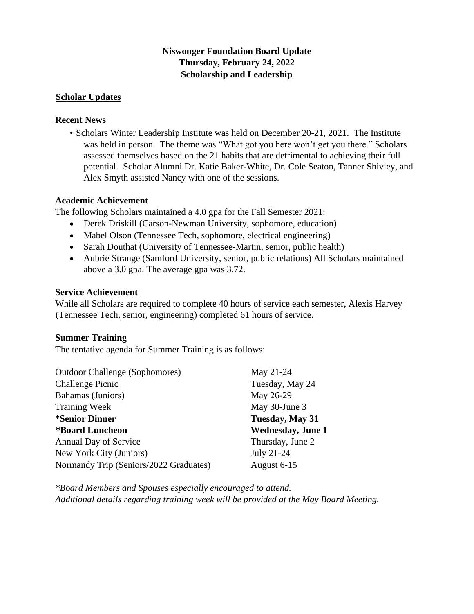## **Niswonger Foundation Board Update Thursday, February 24, 2022 Scholarship and Leadership**

#### **Scholar Updates**

#### **Recent News**

• Scholars Winter Leadership Institute was held on December 20-21, 2021. The Institute was held in person. The theme was "What got you here won't get you there." Scholars assessed themselves based on the 21 habits that are detrimental to achieving their full potential. Scholar Alumni Dr. Katie Baker-White, Dr. Cole Seaton, Tanner Shivley, and Alex Smyth assisted Nancy with one of the sessions.

#### **Academic Achievement**

The following Scholars maintained a 4.0 gpa for the Fall Semester 2021:

- Derek Driskill (Carson-Newman University, sophomore, education)
- Mabel Olson (Tennessee Tech, sophomore, electrical engineering)
- Sarah Douthat (University of Tennessee-Martin, senior, public health)
- Aubrie Strange (Samford University, senior, public relations) All Scholars maintained above a 3.0 gpa. The average gpa was 3.72.

#### **Service Achievement**

While all Scholars are required to complete 40 hours of service each semester, Alexis Harvey (Tennessee Tech, senior, engineering) completed 61 hours of service.

### **Summer Training**

The tentative agenda for Summer Training is as follows:

| <b>Outdoor Challenge (Sophomores)</b>  | May 21-24                 |
|----------------------------------------|---------------------------|
| <b>Challenge Picnic</b>                | Tuesday, May 24           |
| Bahamas (Juniors)                      | May 26-29                 |
| <b>Training Week</b>                   | May 30-June 3             |
| <i>*Senior Dinner</i>                  | Tuesday, May 31           |
| *Board Luncheon                        | <b>Wednesday</b> , June 1 |
| <b>Annual Day of Service</b>           | Thursday, June 2          |
| New York City (Juniors)                | July 21-24                |
| Normandy Trip (Seniors/2022 Graduates) | August 6-15               |

*\*Board Members and Spouses especially encouraged to attend. Additional details regarding training week will be provided at the May Board Meeting.*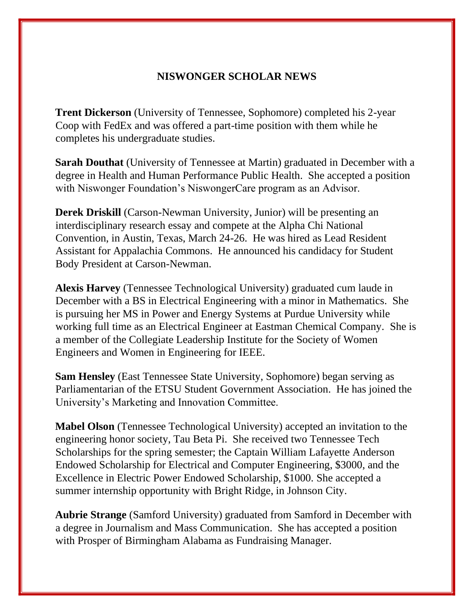# **NISWONGER SCHOLAR NEWS**

**Trent Dickerson** (University of Tennessee, Sophomore) completed his 2-year Coop with FedEx and was offered a part-time position with them while he completes his undergraduate studies.

**Sarah Douthat** (University of Tennessee at Martin) graduated in December with a degree in Health and Human Performance Public Health. She accepted a position with Niswonger Foundation's NiswongerCare program as an Advisor.

**Derek Driskill** (Carson-Newman University, Junior) will be presenting an interdisciplinary research essay and compete at the Alpha Chi National Convention, in Austin, Texas, March 24-26. He was hired as Lead Resident Assistant for Appalachia Commons. He announced his candidacy for Student Body President at Carson-Newman.

**Alexis Harvey** (Tennessee Technological University) graduated cum laude in December with a BS in Electrical Engineering with a minor in Mathematics. She is pursuing her MS in Power and Energy Systems at Purdue University while working full time as an Electrical Engineer at Eastman Chemical Company. She is a member of the Collegiate Leadership Institute for the Society of Women Engineers and Women in Engineering for IEEE.

**Sam Hensley** (East Tennessee State University, Sophomore) began serving as Parliamentarian of the ETSU Student Government Association. He has joined the University's Marketing and Innovation Committee.

**Mabel Olson** (Tennessee Technological University) accepted an invitation to the engineering honor society, Tau Beta Pi. She received two Tennessee Tech Scholarships for the spring semester; the Captain William Lafayette Anderson Endowed Scholarship for Electrical and Computer Engineering, \$3000, and the Excellence in Electric Power Endowed Scholarship, \$1000. She accepted a summer internship opportunity with Bright Ridge, in Johnson City.

**Aubrie Strange** (Samford University) graduated from Samford in December with a degree in Journalism and Mass Communication. She has accepted a position with Prosper of Birmingham Alabama as Fundraising Manager.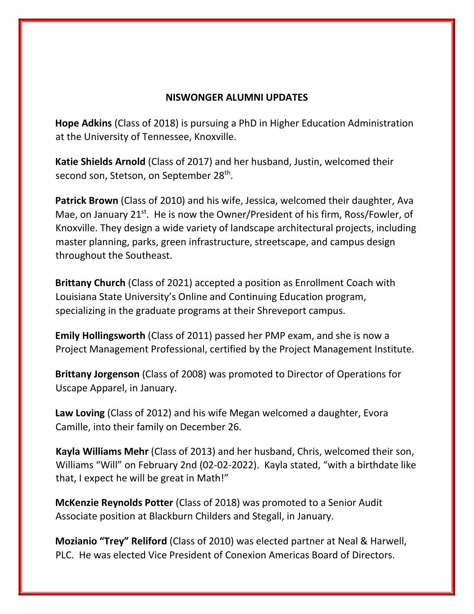## **NISWONGER ALUMNI UPDATES**

**Hope Adkins** (Class of 2018) is pursuing a PhD in Higher Education Administration at the University of Tennessee, Knoxville.

**Katie Shields Arnold** (Class of 2017) and her husband, Justin, welcomed their second son, Stetson, on September 28<sup>th</sup>.

**Patrick Brown** (Class of 2010) and his wife, Jessica, welcomed their daughter, Ava Mae, on January 21<sup>st</sup>. He is now the Owner/President of his firm, Ross/Fowler, of Knoxville. They design a wide variety of landscape architectural projects, including master planning, parks, green infrastructure, streetscape, and campus design throughout the Southeast.

**Brittany Church** (Class of 2021) accepted a position as Enrollment Coach with Louisiana State University's Online and Continuing Education program, specializing in the graduate programs at their Shreveport campus.

**Emily Hollingsworth** (Class of 2011) passed her PMP exam, and she is now a Project Management Professional, certified by the Project Management Institute.

**Brittany Jorgenson** (Class of 2008) was promoted to Director of Operations for Uscape Apparel, in January.

**Law Loving** (Class of 2012) and his wife Megan welcomed a daughter, Evora Camille, into their family on December 26.

**Kayla Williams Mehr** (Class of 2013) and her husband, Chris, welcomed their son, Williams "Will" on February 2nd (02-02-2022). Kayla stated, "with a birthdate like that, I expect he will be great in Math!"

**McKenzie Reynolds Potter** (Class of 2018) was promoted to a Senior Audit Associate position at Blackburn Childers and Stegall, in January.

**Mozianio "Trey" Reliford** (Class of 2010) was elected partner at Neal & Harwell, PLC. He was elected Vice President of Conexion Americas Board of Directors.